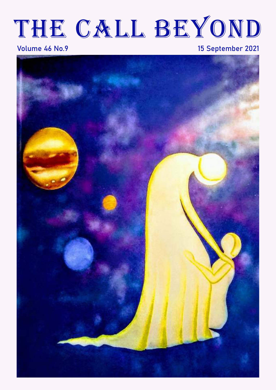

15 September 2021

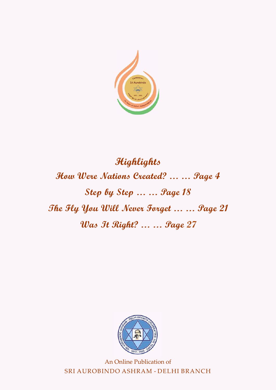

# **Highlights How Were Nations Created? … … Page 4 Step by Step … … Page 18 The Fly You Will Never Forget … … Page 21 Was It Right? … … Page 27**



An Online Publication of SRI AUROBINDO ASHRAM - DELHI BRANCH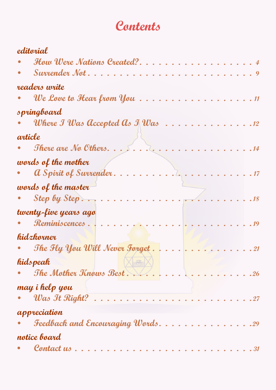# Contents

| editorial                                                      |  |  |  |  |  |  |               |  |
|----------------------------------------------------------------|--|--|--|--|--|--|---------------|--|
| How Were Nations Created?.                                     |  |  |  |  |  |  |               |  |
| Surrender Not                                                  |  |  |  |  |  |  |               |  |
| readers write                                                  |  |  |  |  |  |  |               |  |
| We Love to Hear from You                                       |  |  |  |  |  |  |               |  |
| springboard                                                    |  |  |  |  |  |  |               |  |
| Where $\mathcal I$ Was Accepted As $\mathcal I$ Was $\ldots$ . |  |  |  |  |  |  | $\ldots$ 12   |  |
| article                                                        |  |  |  |  |  |  |               |  |
| There are No Others<br>.                                       |  |  |  |  |  |  | .14           |  |
| words of the mother                                            |  |  |  |  |  |  |               |  |
| a Spirit of Surrender.                                         |  |  |  |  |  |  | .17           |  |
| words of the master                                            |  |  |  |  |  |  |               |  |
| Step by Step. $\ldots$                                         |  |  |  |  |  |  | .18           |  |
| twenty-five years ago                                          |  |  |  |  |  |  |               |  |
| Reminiscences.                                                 |  |  |  |  |  |  | 19            |  |
| kidzkorner                                                     |  |  |  |  |  |  |               |  |
| The Fly You Will Never Forget.                                 |  |  |  |  |  |  |               |  |
| <b>Ridspeak</b>                                                |  |  |  |  |  |  |               |  |
| The Mother Knows Best.                                         |  |  |  |  |  |  | $\cdot$ 26    |  |
| may i help you                                                 |  |  |  |  |  |  |               |  |
| Was It Right?                                                  |  |  |  |  |  |  | $\cdot$ 27    |  |
| appreciation                                                   |  |  |  |  |  |  |               |  |
| Feedback and Encouraging Words. 29                             |  |  |  |  |  |  |               |  |
| notice board                                                   |  |  |  |  |  |  |               |  |
| Contact us                                                     |  |  |  |  |  |  | $\cdots$ $31$ |  |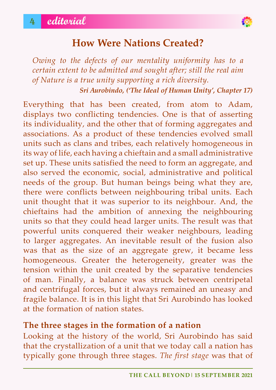

### **How Were Nations Created?**

*Owing to the defects of our mentality uniformity has to a certain extent to be admitted and sought after; still the real aim of Nature is a true unity supporting a rich diversity. Sri Aurobindo, ('The Ideal of Human Unity', Chapter 17)*

Everything that has been created, from atom to Adam, displays two conflicting tendencies. One is that of asserting its individuality, and the other that of forming aggregates and associations. As a product of these tendencies evolved small units such as clans and tribes, each relatively homogeneous in its way of life, each having a chieftain and a small administrative set up. These units satisfied the need to form an aggregate, and also served the economic, social, administrative and political needs of the group. But human beings being what they are, there were conflicts between neighbouring tribal units. Each unit thought that it was superior to its neighbour. And, the chieftains had the ambition of annexing the neighbouring units so that they could head larger units. The result was that powerful units conquered their weaker neighbours, leading to larger aggregates. An inevitable result of the fusion also was that as the size of an aggregate grew, it became less homogeneous. Greater the heterogeneity, greater was the tension within the unit created by the separative tendencies of man. Finally, a balance was struck between centripetal and centrifugal forces, but it always remained an uneasy and fragile balance. It is in this light that Sri Aurobindo has looked at the formation of nation states.

#### **The three stages in the formation of a nation**

Looking at the history of the world, Sri Aurobindo has said that the crystallization of a unit that we today call a nation has typically gone through three stages. *The first stage* was that of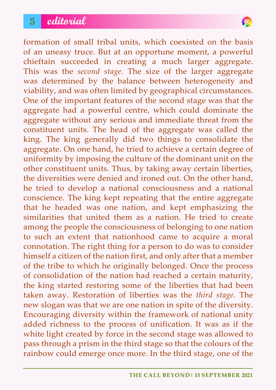

formation of small tribal units, which coexisted on the basis of an uneasy truce. But at an opportune moment, a powerful chieftain succeeded in creating a much larger aggregate. This was the *second stage*. The size of the larger aggregate was determined by the balance between heterogeneity and viability, and was often limited by geographical circumstances. One of the important features of the second stage was that the aggregate had a powerful centre, which could dominate the aggregate without any serious and immediate threat from the constituent units. The head of the aggregate was called the king. The king generally did two things to consolidate the aggregate. On one hand, he tried to achieve a certain degree of uniformity by imposing the culture of the dominant unit on the other constituent units. Thus, by taking away certain liberties, the diversities were denied and ironed out. On the other hand, he tried to develop a national consciousness and a national conscience. The king kept repeating that the entire aggregate that he headed was one nation, and kept emphasizing the similarities that united them as a nation. He tried to create among the people the consciousness of belonging to one nation to such an extent that nationhood came to acquire a moral connotation. The right thing for a person to do was to consider himself a citizen of the nation first, and only after that a member of the tribe to which he originally belonged. Once the process of consolidation of the nation had reached a certain maturity, the king started restoring some of the liberties that had been taken away. Restoration of liberties was the *third stage*. The new slogan was that we are one nation in spite of the diversity. Encouraging diversity within the framework of national unity added richness to the process of unification. It was as if the white light created by force in the second stage was allowed to pass through a prism in the third stage so that the colours of the rainbow could emerge once more. In the third stage, one of the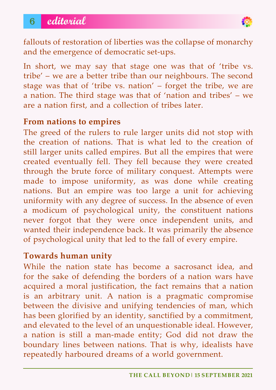

fallouts of restoration of liberties was the collapse of monarchy and the emergence of democratic set-ups.

In short, we may say that stage one was that of 'tribe vs. tribe' – we are a better tribe than our neighbours. The second stage was that of 'tribe vs. nation' – forget the tribe, we are a nation. The third stage was that of 'nation and tribes' – we are a nation first, and a collection of tribes later.

#### **From nations to empires**

The greed of the rulers to rule larger units did not stop with the creation of nations. That is what led to the creation of still larger units called empires. But all the empires that were created eventually fell. They fell because they were created through the brute force of military conquest. Attempts were made to impose uniformity, as was done while creating nations. But an empire was too large a unit for achieving uniformity with any degree of success. In the absence of even a modicum of psychological unity, the constituent nations never forgot that they were once independent units, and wanted their independence back. It was primarily the absence of psychological unity that led to the fall of every empire.

#### **Towards human unity**

While the nation state has become a sacrosanct idea, and for the sake of defending the borders of a nation wars have acquired a moral justification, the fact remains that a nation is an arbitrary unit. A nation is a pragmatic compromise between the divisive and unifying tendencies of man, which has been glorified by an identity, sanctified by a commitment, and elevated to the level of an unquestionable ideal. However, a nation is still a man-made entity; God did not draw the boundary lines between nations. That is why, idealists have repeatedly harboured dreams of a world government.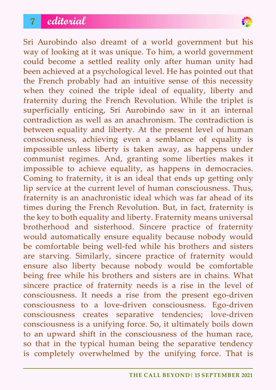

Sri Aurobindo also dreamt of a world government but his way of looking at it was unique. To him, a world government could become a settled reality only after human unity had been achieved at a psychological level. He has pointed out that the French probably had an intuitive sense of this necessity when they coined the triple ideal of equality, liberty and fraternity during the French Revolution. While the triplet is superficially enticing, Sri Aurobindo saw in it an internal contradiction as well as an anachronism. The contradiction is between equality and liberty. At the present level of human consciousness, achieving even a semblance of equality is impossible unless liberty is taken away, as happens under communist regimes. And, granting some liberties makes it impossible to achieve equality, as happens in democracies. Coming to fraternity, it is an ideal that ends up getting only lip service at the current level of human consciousness. Thus, fraternity is an anachronistic ideal which was far ahead of its times during the French Revolution. But, in fact, fraternity is the key to both equality and liberty. Fraternity means universal brotherhood and sisterhood. Sincere practice of fraternity would automatically ensure equality because nobody would be comfortable being well-fed while his brothers and sisters are starving. Similarly, sincere practice of fraternity would ensure also liberty because nobody would be comfortable being free while his brothers and sisters are in chains. What sincere practice of fraternity needs is a rise in the level of consciousness. It needs a rise from the present ego-driven consciousness to a love-driven consciousness. Ego-driven consciousness creates separative tendencies; love-driven consciousness is a unifying force. So, it ultimately boils down to an upward shift in the consciousness of the human race, so that in the typical human being the separative tendency is completely overwhelmed by the unifying force. That is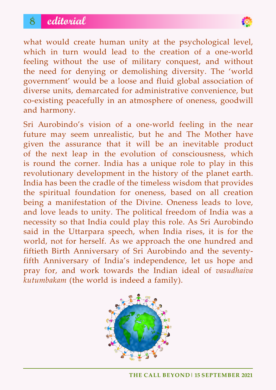### 8 **editorial**



what would create human unity at the psychological level, which in turn would lead to the creation of a one-world feeling without the use of military conquest, and without the need for denying or demolishing diversity. The 'world government' would be a loose and fluid global association of diverse units, demarcated for administrative convenience, but co-existing peacefully in an atmosphere of oneness, goodwill and harmony.

Sri Aurobindo's vision of a one-world feeling in the near future may seem unrealistic, but he and The Mother have given the assurance that it will be an inevitable product of the next leap in the evolution of consciousness, which is round the corner. India has a unique role to play in this revolutionary development in the history of the planet earth. India has been the cradle of the timeless wisdom that provides the spiritual foundation for oneness, based on all creation being a manifestation of the Divine. Oneness leads to love, and love leads to unity. The political freedom of India was a necessity so that India could play this role. As Sri Aurobindo said in the Uttarpara speech, when India rises, it is for the world, not for herself. As we approach the one hundred and fiftieth Birth Anniversary of Sri Aurobindo and the seventyfifth Anniversary of India's independence, let us hope and pray for, and work towards the Indian ideal of *vasudhaiva kutumbakam* (the world is indeed a family).

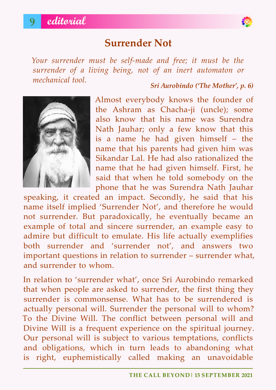

### **Surrender Not**

*Your surrender must be self-made and free; it must be the surrender of a living being, not of an inert automaton or mechanical tool.*

*Sri Aurobindo ('The Mother', p. 6)*



Almost everybody knows the founder of the Ashram as Chacha-ji (uncle); some also know that his name was Surendra Nath Jauhar; only a few know that this is a name he had given himself – the name that his parents had given him was Sikandar Lal. He had also rationalized the name that he had given himself. First, he said that when he told somebody on the phone that he was Surendra Nath Jauhar

speaking, it created an impact. Secondly, he said that his name itself implied 'Surrender Not', and therefore he would not surrender. But paradoxically, he eventually became an example of total and sincere surrender, an example easy to admire but difficult to emulate. His life actually exemplifies both surrender and 'surrender not', and answers two important questions in relation to surrender – surrender what, and surrender to whom.

In relation to 'surrender what', once Sri Aurobindo remarked that when people are asked to surrender, the first thing they surrender is commonsense. What has to be surrendered is actually personal will. Surrender the personal will to whom? To the Divine Will. The conflict between personal will and Divine Will is a frequent experience on the spiritual journey. Our personal will is subject to various temptations, conflicts and obligations, which in turn leads to abandoning what is right, euphemistically called making an unavoidable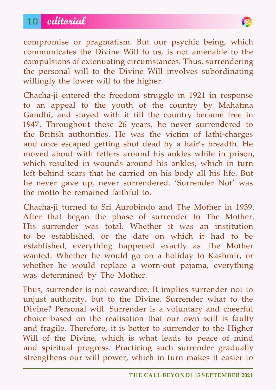

compromise or pragmatism. But our psychic being, which communicates the Divine Will to us, is not amenable to the compulsions of extenuating circumstances. Thus, surrendering the personal will to the Divine Will involves subordinating willingly the lower will to the higher.

Chacha-ji entered the freedom struggle in 1921 in response to an appeal to the youth of the country by Mahatma Gandhi, and stayed with it till the country became free in 1947. Throughout these 26 years, he never surrendered to the British authorities. He was the victim of lathi-charges and once escaped getting shot dead by a hair's breadth. He moved about with fetters around his ankles while in prison, which resulted in wounds around his ankles, which in turn left behind scars that he carried on his body all his life. But he never gave up, never surrendered. 'Surrender Not' was the motto he remained faithful to.

Chacha-ji turned to Sri Aurobindo and The Mother in 1939. After that began the phase of surrender to The Mother. His surrender was total. Whether it was an institution to be established, or the date on which it had to be established, everything happened exactly as The Mother wanted. Whether he would go on a holiday to Kashmir, or whether he would replace a worn-out pajama, everything was determined by The Mother.

Thus, surrender is not cowardice. It implies surrender not to unjust authority, but to the Divine. Surrender what to the Divine? Personal will. Surrender is a voluntary and cheerful choice based on the realisation that our own will is faulty and fragile. Therefore, it is better to surrender to the Higher Will of the Divine, which is what leads to peace of mind and spiritual progress. Practicing such surrender gradually strengthens our will power, which in turn makes it easier to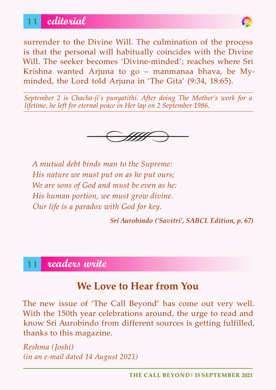### 11 **editorial**



surrender to the Divine Will. The culmination of the process is that the personal will habitually coincides with the Divine Will. The seeker becomes 'Divine-minded'; reaches where Sri Krishna wanted Arjuna to go – manmanaa bhava, be Myminded, the Lord told Arjuna in 'The Gita' (9:34, 18:65).

*September 2 is Chacha-ji's punyatithi. After doing The Mother's work for a lifetime, he left for eternal peace in Her lap on 2 September 1986.*



*A mutual debt binds man to the Supreme: His nature we must put on as he put ours; We are sons of God and must be even as he: His human portion, we must grow divine. Our life is a paradox with God for key.*

*Sri Aurobindo ('Savitri', SABCL Edition, p. 67)*

### 11 **readers write**

### **We love to hear from you**

The new issue of 'The Call Beyond' has come out very well. With the 150th year celebrations around, the urge to read and know Sri Aurobindo from different sources is getting fulfilled, thanks to this magazine.

*Reshma (Joshi) (in an e-mail dated 14 August 2021)*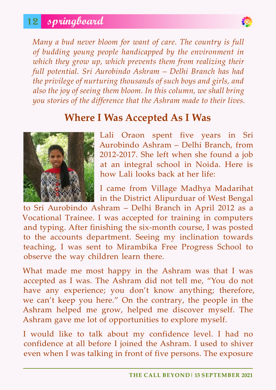### 12 **springboard**



*Many a bud never bloom for want of care. The country is full of budding young people handicapped by the environment in which they grow up, which prevents them from realizing their full potential. Sri Aurobindo Ashram – Delhi Branch has had the privilege of nurturing thousands of such boys and girls, and also the joy of seeing them bloom. In this column, we shall bring you stories of the difference that the Ashram made to their lives.* 

### **Where I Was accepted as I Was**



Lali Oraon spent five years in Sri Aurobindo Ashram – Delhi Branch, from 2012-2017. She left when she found a job at an integral school in Noida. Here is how Lali looks back at her life:

I came from Village Madhya Madarihat in the District Alipurduar of West Bengal

to Sri Aurobindo Ashram – Delhi Branch in April 2012 as a Vocational Trainee. I was accepted for training in computers and typing. After finishing the six-month course, I was posted to the accounts department. Seeing my inclination towards teaching, I was sent to Mirambika Free Progress School to observe the way children learn there.

What made me most happy in the Ashram was that I was accepted as I was. The Ashram did not tell me, "You do not have any experience; you don't know anything; therefore, we can't keep you here." On the contrary, the people in the Ashram helped me grow, helped me discover myself. The Ashram gave me lot of opportunities to explore myself.

I would like to talk about my confidence level. I had no confidence at all before I joined the Ashram. I used to shiver even when I was talking in front of five persons. The exposure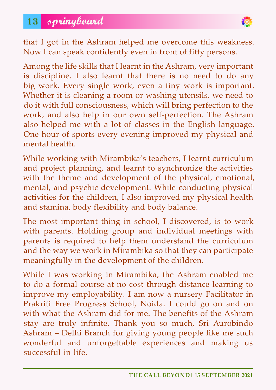### 13 **springboard**



that I got in the Ashram helped me overcome this weakness. Now I can speak confidently even in front of fifty persons.

Among the life skills that I learnt in the Ashram, very important is discipline. I also learnt that there is no need to do any big work. Every single work, even a tiny work is important. Whether it is cleaning a room or washing utensils, we need to do it with full consciousness, which will bring perfection to the work, and also help in our own self-perfection. The Ashram also helped me with a lot of classes in the English language. One hour of sports every evening improved my physical and mental health.

While working with Mirambika's teachers, I learnt curriculum and project planning, and learnt to synchronize the activities with the theme and development of the physical, emotional, mental, and psychic development. While conducting physical activities for the children, I also improved my physical health and stamina, body flexibility and body balance.

The most important thing in school, I discovered, is to work with parents. Holding group and individual meetings with parents is required to help them understand the curriculum and the way we work in Mirambika so that they can participate meaningfully in the development of the children.

While I was working in Mirambika, the Ashram enabled me to do a formal course at no cost through distance learning to improve my employability. I am now a nursery Facilitator in Prakriti Free Progress School, Noida. I could go on and on with what the Ashram did for me. The benefits of the Ashram stay are truly infinite. Thank you so much, Sri Aurobindo Ashram – Delhi Branch for giving young people like me such wonderful and unforgettable experiences and making us successful in life.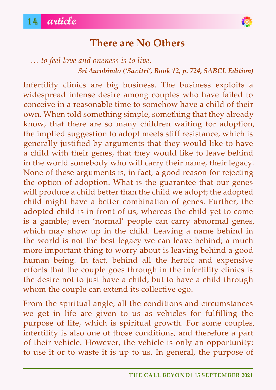

### **There are No Others**

### *… to feel love and oneness is to live. Sri Aurobindo ('Savitri', Book 12, p. 724, SABCL Edition)*

Infertility clinics are big business. The business exploits a widespread intense desire among couples who have failed to conceive in a reasonable time to somehow have a child of their own. When told something simple, something that they already know, that there are so many children waiting for adoption, the implied suggestion to adopt meets stiff resistance, which is generally justified by arguments that they would like to have a child with their genes, that they would like to leave behind in the world somebody who will carry their name, their legacy. None of these arguments is, in fact, a good reason for rejecting the option of adoption. What is the guarantee that our genes will produce a child better than the child we adopt; the adopted child might have a better combination of genes. Further, the adopted child is in front of us, whereas the child yet to come is a gamble; even 'normal' people can carry abnormal genes, which may show up in the child. Leaving a name behind in the world is not the best legacy we can leave behind; a much more important thing to worry about is leaving behind a good human being. In fact, behind all the heroic and expensive efforts that the couple goes through in the infertility clinics is the desire not to just have a child, but to have a child through whom the couple can extend its collective ego.

From the spiritual angle, all the conditions and circumstances we get in life are given to us as vehicles for fulfilling the purpose of life, which is spiritual growth. For some couples, infertility is also one of those conditions, and therefore a part of their vehicle. However, the vehicle is only an opportunity; to use it or to waste it is up to us. In general, the purpose of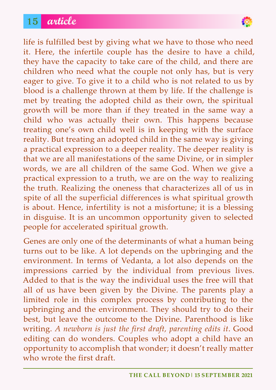### 15 **article**



life is fulfilled best by giving what we have to those who need it. Here, the infertile couple has the desire to have a child, they have the capacity to take care of the child, and there are children who need what the couple not only has, but is very eager to give. To give it to a child who is not related to us by blood is a challenge thrown at them by life. If the challenge is met by treating the adopted child as their own, the spiritual growth will be more than if they treated in the same way a child who was actually their own. This happens because treating one's own child well is in keeping with the surface reality. But treating an adopted child in the same way is giving a practical expression to a deeper reality. The deeper reality is that we are all manifestations of the same Divine, or in simpler words, we are all children of the same God. When we give a practical expression to a truth, we are on the way to realizing the truth. Realizing the oneness that characterizes all of us in spite of all the superficial differences is what spiritual growth is about. Hence, infertility is not a misfortune; it is a blessing in disguise. It is an uncommon opportunity given to selected people for accelerated spiritual growth.

Genes are only one of the determinants of what a human being turns out to be like. A lot depends on the upbringing and the environment. In terms of Vedanta, a lot also depends on the impressions carried by the individual from previous lives. Added to that is the way the individual uses the free will that all of us have been given by the Divine. The parents play a limited role in this complex process by contributing to the upbringing and the environment. They should try to do their best, but leave the outcome to the Divine. Parenthood is like writing. *A newborn is just the first draft, parenting edits it*. Good editing can do wonders. Couples who adopt a child have an opportunity to accomplish that wonder; it doesn't really matter who wrote the first draft.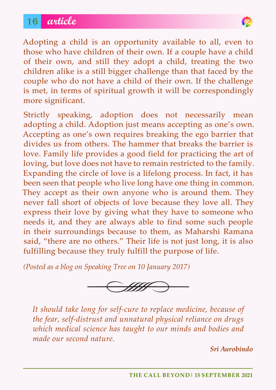### 16 **article**



Adopting a child is an opportunity available to all, even to those who have children of their own. If a couple have a child of their own, and still they adopt a child, treating the two children alike is a still bigger challenge than that faced by the couple who do not have a child of their own. If the challenge is met, in terms of spiritual growth it will be correspondingly more significant.

Strictly speaking, adoption does not necessarily mean adopting a child. Adoption just means accepting as one's own. Accepting as one's own requires breaking the ego barrier that divides us from others. The hammer that breaks the barrier is love. Family life provides a good field for practicing the art of loving, but love does not have to remain restricted to the family. Expanding the circle of love is a lifelong process. In fact, it has been seen that people who live long have one thing in common. They accept as their own anyone who is around them. They never fall short of objects of love because they love all. They express their love by giving what they have to someone who needs it, and they are always able to find some such people in their surroundings because to them, as Maharshi Ramana said, "there are no others." Their life is not just long, it is also fulfilling because they truly fulfill the purpose of life.

*(Posted as a blog on Speaking Tree on 10 January 2017)*



*It should take long for self-cure to replace medicine, because of the fear, self-distrust and unnatural physical reliance on drugs which medical science has taught to our minds and bodies and made our second nature.*

*Sri Aurobindo*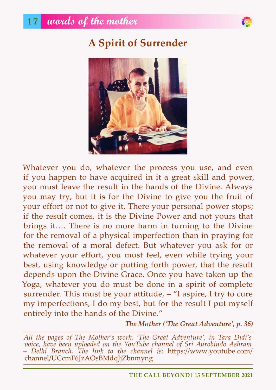

# **a Spirit of Surrender**



Whatever you do, whatever the process you use, and even if you happen to have acquired in it a great skill and power, you must leave the result in the hands of the Divine. Always you may try, but it is for the Divine to give you the fruit of your effort or not to give it. There your personal power stops; if the result comes, it is the Divine Power and not yours that brings it…. There is no more harm in turning to the Divine for the removal of a physical imperfection than in praying for the removal of a moral defect. But whatever you ask for or whatever your effort, you must feel, even while trying your best, using knowledge or putting forth power, that the result depends upon the Divine Grace. Once you have taken up the Yoga, whatever you do must be done in a spirit of complete surrender. This must be your attitude, – "I aspire, I try to cure my imperfections, I do my best, but for the result I put myself entirely into the hands of the Divine."

*The Mother ('The Great Adventure', p. 36)*

*All the pages of The Mother's work, 'The Great Adventure', in Tara Didi's voice, have been uploaded on the YouTube channel of Sri Aurobindo Ashram – Delhi Branch. The link to the channel is:* https://www.youtube.com/ channel/UCcmF6JzAOsBMdqJjZbnmyng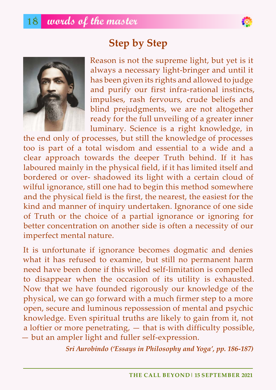



# **Step by Step**

Reason is not the supreme light, but yet is it always a necessary light-bringer and until it has been given its rights and allowed to judge and purify our first infra-rational instincts, impulses, rash fervours, crude beliefs and blind prejudgments, we are not altogether ready for the full unveiling of a greater inner luminary. Science is a right knowledge, in

the end only of processes, but still the knowledge of processes too is part of a total wisdom and essential to a wide and a clear approach towards the deeper Truth behind. If it has laboured mainly in the physical field, if it has limited itself and bordered or over- shadowed its light with a certain cloud of wilful ignorance, still one had to begin this method somewhere and the physical field is the first, the nearest, the easiest for the kind and manner of inquiry undertaken. Ignorance of one side of Truth or the choice of a partial ignorance or ignoring for better concentration on another side is often a necessity of our imperfect mental nature.

It is unfortunate if ignorance becomes dogmatic and denies what it has refused to examine, but still no permanent harm need have been done if this willed self-limitation is compelled to disappear when the occasion of its utility is exhausted. Now that we have founded rigorously our knowledge of the physical, we can go forward with a much firmer step to a more open, secure and luminous repossession of mental and psychic knowledge. Even spiritual truths are likely to gain from it, not a loftier or more penetrating, — that is with difficulty possible, — but an ampler light and fuller self-expression.

*Sri Aurobindo ('Essays in Philosophy and Yoga', pp. 186-187)*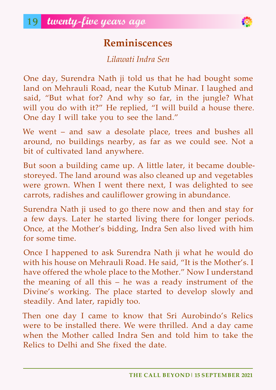

### **Reminiscences**

*Lilawati Indra Sen*

One day, Surendra Nath ji told us that he had bought some land on Mehrauli Road, near the Kutub Minar. I laughed and said, "But what for? And why so far, in the jungle? What will you do with it?" He replied, "I will build a house there. One day I will take you to see the land."

We went – and saw a desolate place, trees and bushes all around, no buildings nearby, as far as we could see. Not a bit of cultivated land anywhere.

But soon a building came up. A little later, it became doublestoreyed. The land around was also cleaned up and vegetables were grown. When I went there next, I was delighted to see carrots, radishes and cauliflower growing in abundance.

Surendra Nath ji used to go there now and then and stay for a few days. Later he started living there for longer periods. Once, at the Mother's bidding, Indra Sen also lived with him for some time.

Once I happened to ask Surendra Nath ji what he would do with his house on Mehrauli Road. He said, "It is the Mother's. I have offered the whole place to the Mother." Now I understand the meaning of all this – he was a ready instrument of the Divine's working. The place started to develop slowly and steadily. And later, rapidly too.

Then one day I came to know that Sri Aurobindo's Relics were to be installed there. We were thrilled. And a day came when the Mother called Indra Sen and told him to take the Relics to Delhi and She fixed the date.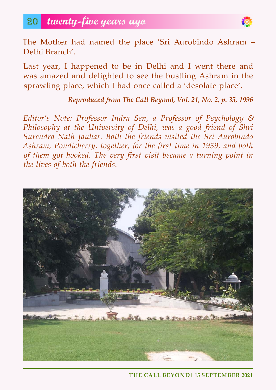

The Mother had named the place 'Sri Aurobindo Ashram – Delhi Branch'.

Last year, I happened to be in Delhi and I went there and was amazed and delighted to see the bustling Ashram in the sprawling place, which I had once called a 'desolate place'.

#### *Reproduced from The Call Beyond, Vol. 21, No. 2, p. 35, 1996*

*Editor's Note: Professor Indra Sen, a Professor of Psychology & Philosophy at the University of Delhi, was a good friend of Shri Surendra Nath Jauhar. Both the friends visited the Sri Aurobindo Ashram, Pondicherry, together, for the first time in 1939, and both of them got hooked. The very first visit became a turning point in the lives of both the friends.*

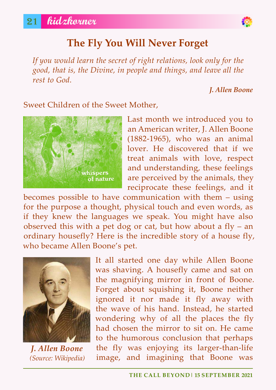

### **The Fly You Will Never Forget**

*If you would learn the secret of right relations, look only for the good, that is, the Divine, in people and things, and leave all the rest to God.*

*J. Allen Boone*

Sweet Children of the Sweet Mother,



Last month we introduced you to an American writer, J. Allen Boone (1882-1965), who was an animal lover. He discovered that if we treat animals with love, respect and understanding, these feelings are perceived by the animals, they reciprocate these feelings, and it

becomes possible to have communication with them – using for the purpose a thought, physical touch and even words, as if they knew the languages we speak. You might have also observed this with a pet dog or cat, but how about a fly – an ordinary housefly? Here is the incredible story of a house fly, who became Allen Boone's pet.



*J. Allen Boone (Source: Wikipedia)*

It all started one day while Allen Boone was shaving. A housefly came and sat on the magnifying mirror in front of Boone. Forget about squishing it, Boone neither ignored it nor made it fly away with the wave of his hand. Instead, he started wondering why of all the places the fly had chosen the mirror to sit on. He came to the humorous conclusion that perhaps the fly was enjoying its larger-than-life image, and imagining that Boone was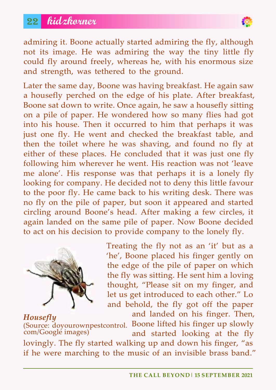

admiring it. Boone actually started admiring the fly, although not its image. He was admiring the way the tiny little fly could fly around freely, whereas he, with his enormous size and strength, was tethered to the ground.

Later the same day, Boone was having breakfast. He again saw a housefly perched on the edge of his plate. After breakfast, Boone sat down to write. Once again, he saw a housefly sitting on a pile of paper. He wondered how so many flies had got into his house. Then it occurred to him that perhaps it was just one fly. He went and checked the breakfast table, and then the toilet where he was shaving, and found no fly at either of these places. He concluded that it was just one fly following him wherever he went. His reaction was not 'leave me alone'. His response was that perhaps it is a lonely fly looking for company. He decided not to deny this little favour to the poor fly. He came back to his writing desk. There was no fly on the pile of paper, but soon it appeared and started circling around Boone's head. After making a few circles, it again landed on the same pile of paper. Now Boone decided to act on his decision to provide company to the lonely fly.



Treating the fly not as an 'it' but as a 'he', Boone placed his finger gently on the edge of the pile of paper on which the fly was sitting. He sent him a loving thought, "Please sit on my finger, and let us get introduced to each other." Lo and behold, the fly got off the paper and landed on his finger. Then,

(Source: doyourownpestcontrol. Boone lifted his finger up slowly and started looking at the fly *Housefly* com/Google images)

lovingly. The fly started walking up and down his finger, "as if he were marching to the music of an invisible brass band."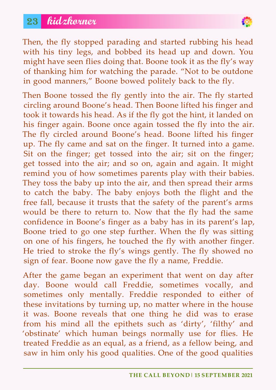### 23 **kidzkorner**



Then, the fly stopped parading and started rubbing his head with his tiny legs, and bobbed its head up and down. You might have seen flies doing that. Boone took it as the fly's way of thanking him for watching the parade. "Not to be outdone in good manners," Boone bowed politely back to the fly.

Then Boone tossed the fly gently into the air. The fly started circling around Boone's head. Then Boone lifted his finger and took it towards his head. As if the fly got the hint, it landed on his finger again. Boone once again tossed the fly into the air. The fly circled around Boone's head. Boone lifted his finger up. The fly came and sat on the finger. It turned into a game. Sit on the finger; get tossed into the air; sit on the finger; get tossed into the air; and so on, again and again. It might remind you of how sometimes parents play with their babies. They toss the baby up into the air, and then spread their arms to catch the baby. The baby enjoys both the flight and the free fall, because it trusts that the safety of the parent's arms would be there to return to. Now that the fly had the same confidence in Boone's finger as a baby has in its parent's lap, Boone tried to go one step further. When the fly was sitting on one of his fingers, he touched the fly with another finger. He tried to stroke the fly's wings gently. The fly showed no sign of fear. Boone now gave the fly a name, Freddie.

After the game began an experiment that went on day after day. Boone would call Freddie, sometimes vocally, and sometimes only mentally. Freddie responded to either of these invitations by turning up, no matter where in the house it was. Boone reveals that one thing he did was to erase from his mind all the epithets such as 'dirty', 'filthy' and 'obstinate' which human beings normally use for flies. He treated Freddie as an equal, as a friend, as a fellow being, and saw in him only his good qualities. One of the good qualities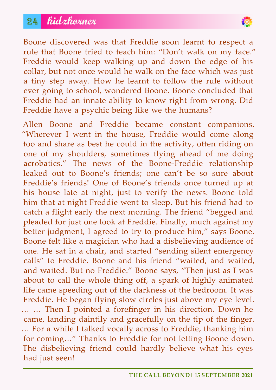

Boone discovered was that Freddie soon learnt to respect a rule that Boone tried to teach him: "Don't walk on my face." Freddie would keep walking up and down the edge of his collar, but not once would he walk on the face which was just a tiny step away. How he learnt to follow the rule without ever going to school, wondered Boone. Boone concluded that Freddie had an innate ability to know right from wrong. Did Freddie have a psychic being like we the humans?

Allen Boone and Freddie became constant companions. "Wherever I went in the house, Freddie would come along too and share as best he could in the activity, often riding on one of my shoulders, sometimes flying ahead of me doing acrobatics." The news of the Boone-Freddie relationship leaked out to Boone's friends; one can't be so sure about Freddie's friends! One of Boone's friends once turned up at his house late at night, just to verify the news. Boone told him that at night Freddie went to sleep. But his friend had to catch a flight early the next morning. The friend "begged and pleaded for just one look at Freddie. Finally, much against my better judgment, I agreed to try to produce him," says Boone. Boone felt like a magician who had a disbelieving audience of one. He sat in a chair, and started "sending silent emergency calls" to Freddie. Boone and his friend "waited, and waited, and waited. But no Freddie." Boone says, "Then just as I was about to call the whole thing off, a spark of highly animated life came speeding out of the darkness of the bedroom. It was Freddie. He began flying slow circles just above my eye level. … … Then I pointed a forefinger in his direction. Down he came, landing daintily and gracefully on the tip of the finger. … For a while I talked vocally across to Freddie, thanking him for coming…" Thanks to Freddie for not letting Boone down. The disbelieving friend could hardly believe what his eyes had just seen!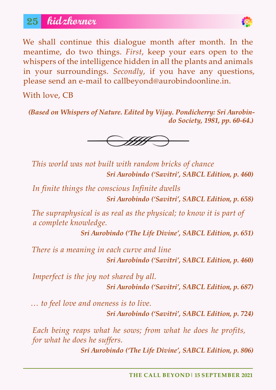### 25 **kidzkorner**



We shall continue this dialogue month after month. In the meantime, do two things. *First*, keep your ears open to the whispers of the intelligence hidden in all the plants and animals in your surroundings. *Secondly*, if you have any questions, please send an e-mail to callbeyond@aurobindoonline.in.

With love, CB

*(Based on Whispers of Nature. Edited by Vijay. Pondicherry: Sri Aurobindo Society, 1981, pp. 60-64.)*



*This world was not built with random bricks of chance Sri Aurobindo ('Savitri', SABCL Edition, p. 460)*

*In finite things the conscious Infinite dwells Sri Aurobindo ('Savitri', SABCL Edition, p. 658)*

*The supraphysical is as real as the physical; to know it is part of a complete knowledge.*

*Sri Aurobindo ('The Life Divine', SABCL Edition, p. 651)*

*There is a meaning in each curve and line Sri Aurobindo ('Savitri', SABCL Edition, p. 460)*

*Imperfect is the joy not shared by all. Sri Aurobindo ('Savitri', SABCL Edition, p. 687)*

*… to feel love and oneness is to live.*

*Sri Aurobindo ('Savitri', SABCL Edition, p. 724)*

*Each being reaps what he sows; from what he does he profits, for what he does he suffers.*

*Sri Aurobindo ('The Life Divine', SABCL Edition, p. 806)*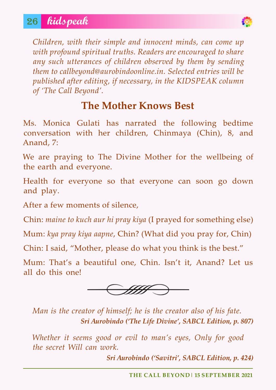### 26 **kidspeak**



*Children, with their simple and innocent minds, can come up with profound spiritual truths. Readers are encouraged to share any such utterances of children observed by them by sending them to callbeyond@aurobindoonline.in. Selected entries will be published after editing, if necessary, in the KIDSPEAK column of 'The Call Beyond'.*

### **The Mother Knows Best**

Ms. Monica Gulati has narrated the following bedtime conversation with her children, Chinmaya (Chin), 8, and Anand, 7:

We are praying to The Divine Mother for the wellbeing of the earth and everyone.

Health for everyone so that everyone can soon go down and play.

After a few moments of silence,

Chin: *maine to kuch aur hi pray kiya* (I prayed for something else)

Mum: *kya pray kiya aapne*, Chin? (What did you pray for, Chin)

Chin: I said, "Mother, please do what you think is the best."

Mum: That's a beautiful one, Chin. Isn't it, Anand? Let us all do this one!



*Man is the creator of himself; he is the creator also of his fate. Sri Aurobindo ('The Life Divine', SABCL Edition, p. 807)*

*Whether it seems good or evil to man's eyes, Only for good the secret Will can work.*

*Sri Aurobindo ('Savitri', SABCL Edition, p. 424)*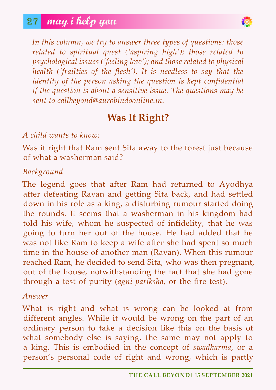### 27 **may i help you**



*In this column, we try to answer three types of questions: those related to spiritual quest ('aspiring high'); those related to psychological issues ('feeling low'); and those related to physical health ('frailties of the flesh'). It is needless to say that the identity of the person asking the question is kept confidential if the question is about a sensitive issue. The questions may be sent to callbeyond@aurobindoonline.in.*

### **Was It Right?**

#### *A child wants to know:*

Was it right that Ram sent Sita away to the forest just because of what a washerman said?

#### *Background*

The legend goes that after Ram had returned to Ayodhya after defeating Ravan and getting Sita back, and had settled down in his role as a king, a disturbing rumour started doing the rounds. It seems that a washerman in his kingdom had told his wife, whom he suspected of infidelity, that he was going to turn her out of the house. He had added that he was not like Ram to keep a wife after she had spent so much time in the house of another man (Ravan). When this rumour reached Ram, he decided to send Sita, who was then pregnant, out of the house, notwithstanding the fact that she had gone through a test of purity (*agni pariksha*, or the fire test).

#### *Answer*

What is right and what is wrong can be looked at from different angles. While it would be wrong on the part of an ordinary person to take a decision like this on the basis of what somebody else is saying, the same may not apply to a king. This is embodied in the concept of *swadharma*, or a person's personal code of right and wrong, which is partly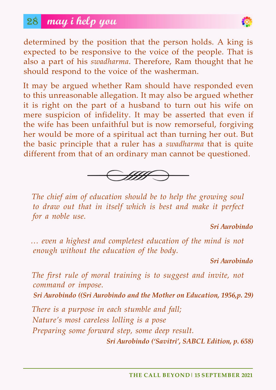### 28 **may i help you**



determined by the position that the person holds. A king is expected to be responsive to the voice of the people. That is also a part of his *swadharma*. Therefore, Ram thought that he should respond to the voice of the washerman.

It may be argued whether Ram should have responded even to this unreasonable allegation. It may also be argued whether it is right on the part of a husband to turn out his wife on mere suspicion of infidelity. It may be asserted that even if the wife has been unfaithful but is now remorseful, forgiving her would be more of a spiritual act than turning her out. But the basic principle that a ruler has a *swadharma* that is quite different from that of an ordinary man cannot be questioned.



*The chief aim of education should be to help the growing soul to draw out that in itself which is best and make it perfect for a noble use.*

*Sri Aurobindo*

*… even a highest and completest education of the mind is not enough without the education of the body.*

*Sri Aurobindo*

The first rule of moral training is to suggest and invite, not *command or impose.* 

*Sri Aurobindo ((Sri Aurobindo and the Mother on Education, 1956,p. 29)*

*There is a purpose in each stumble and fall; Nature's most careless lolling is a pose Preparing some forward step, some deep result. Sri Aurobindo ('Savitri', SABCL Edition, p. 658)*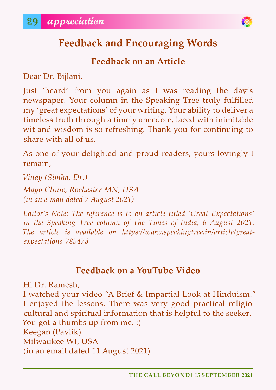

## **Feedback and Encouraging Words**

### **Feedback on an article**

Dear Dr. Bijlani,

Just 'heard' from you again as I was reading the day's newspaper. Your column in the Speaking Tree truly fulfilled my 'great expectations' of your writing. Your ability to deliver a timeless truth through a timely anecdote, laced with inimitable wit and wisdom is so refreshing. Thank you for continuing to share with all of us.

As one of your delighted and proud readers, yours lovingly I remain,

*Vinay (Simha, Dr.) Mayo Clinic, Rochester MN, USA (in an e-mail dated 7 August 2021)*

*Editor's Note: The reference is to an article titled 'Great Expectations' in the Speaking Tree column of The Times of India, 6 August 2021. The article is available on https://www.speakingtree.in/article/greatexpectations-785478*

### **Feedback on a youTube Video**

Hi Dr. Ramesh,

I watched your video "A Brief & Impartial Look at Hinduism." I enjoyed the lessons. There was very good practical religiocultural and spiritual information that is helpful to the seeker. You got a thumbs up from me. :) Keegan (Pavlik) Milwaukee WI, USA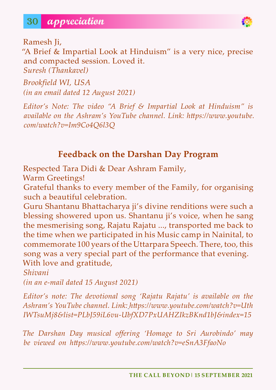

Ramesh Ji,

"A Brief & Impartial Look at Hinduism" is a very nice, precise and compacted session. Loved it.

*Suresh (Thankavel)*

*Brookfield WI, USA*

*(in an email dated 12 August 2021)*

*Editor's Note: The video "A Brief & Impartial Look at Hinduism" is available on the Ashram's YouTube channel. Link: https://www.youtube. com/watch?v=Im9Co4Q6l3Q*

### **Feedback on the Darshan Day Program**

Respected Tara Didi & Dear Ashram Family,

Warm Greetings!

Grateful thanks to every member of the Family, for organising such a beautiful celebration.

Guru Shantanu Bhattacharya ji's divine renditions were such a blessing showered upon us. Shantanu ji's voice, when he sang the mesmerising song, Rajatu Rajatu ..., transported me back to the time when we participated in his Music camp in Nainital, to commemorate 100 years of the Uttarpara Speech. There, too, this song was a very special part of the performance that evening. With love and gratitude,

*Shivani*

*(in an e-mail dated 15 August 2021)*

*Editor's note: The devotional song 'Rajatu Rajatu' is available on the Ashram's YouTube channel. Link: https://www.youtube.com/watch?v=Uth IWTsuMj8&list=PLbJ59iL6vu-UbfXD7PxUAHZIkzBKnd1bJ&index=15*

*The Darshan Day musical offering 'Homage to Sri Aurobindo' may be viewed on https://www.youtube.com/watch?v=eSnA3FfaoNo*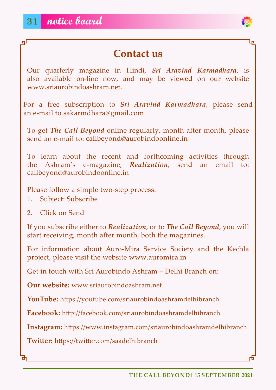

### **Contact us**

Our quarterly magazine in Hindi, *Sri Aravind Karmadhara*, is also available on-line now, and may be viewed on our website www.sriaurobindoashram.net.

For a free subscription to *Sri Aravind Karmadhara,* please send an e-mail to sakarmdhara@gmail.com

To get *The Call Beyond* online regularly, month after month, please send an e-mail to: callbeyond@aurobindoonline.in

To learn about the recent and forthcoming activities through the Ashram's e-magazine, *Realization*, send an email to: callbeyond@aurobindoonline.in

Please follow a simple two-step process:

- 1. Subject: Subscribe
- 2. Click on Send

If you subscribe either to *Realization*, or to *The Call Beyond*, you will start receiving, month after month, both the magazines.

For information about Auro-Mira Service Society and the Kechla project, please visit the website www.auromira.in

Get in touch with Sri Aurobindo Ashram – Delhi Branch on:

**our website:** www.sriaurobindoashram.net

**youTube:** https://youtube.com/sriaurobindoashramdelhibranch

**Facebook:** http://facebook.com/sriaurobindoashramdelhibranch

**Instagram:** https://www.instagram.com/sriaurobindoashramdelhibranch

**Twitter:** https://twitter.com/saadelhibranch